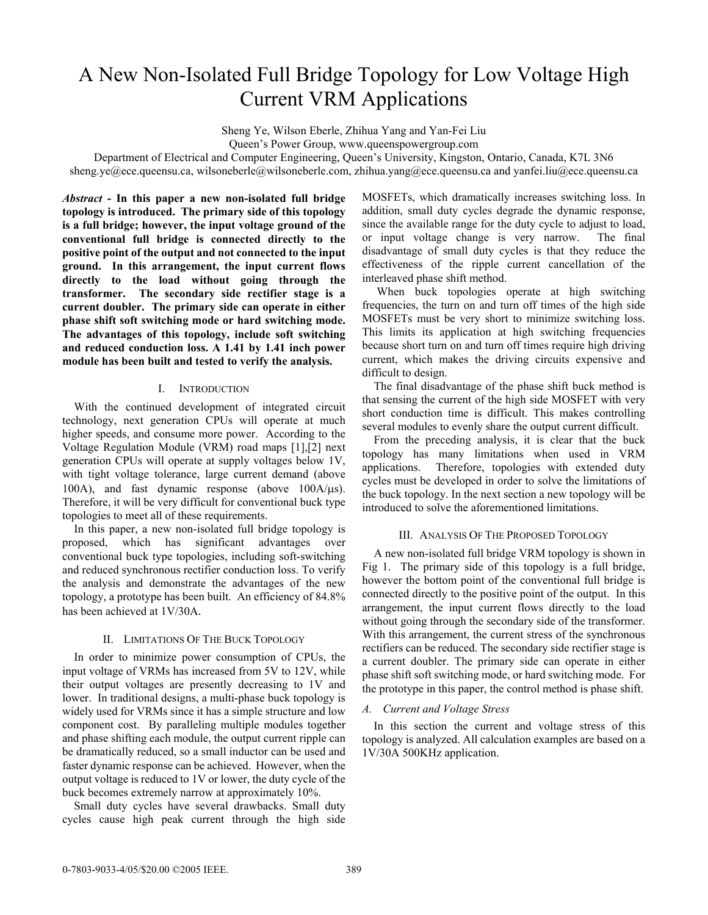# A New Non-Isolated Full Bridge Topology for Low Voltage High Current VRM Applications

Sheng Ye, Wilson Eberle, Zhihua Yang and Yan-Fei Liu

Queen's Power Group, www.queenspowergroup.com

Department of Electrical and Computer Engineering, Queen's University, Kingston, Ontario, Canada, K7L 3N6 sheng.ye@ece.queensu.ca, wilsoneberle@wilsoneberle.com, zhihua.yang@ece.queensu.ca and yanfei.liu@ece.queensu.ca

*Abstract* **- In this paper a new non-isolated full bridge topology is introduced. The primary side of this topology is a full bridge; however, the input voltage ground of the conventional full bridge is connected directly to the positive point of the output and not connected to the input ground. In this arrangement, the input current flows directly to the load without going through the transformer. The secondary side rectifier stage is a current doubler. The primary side can operate in either phase shift soft switching mode or hard switching mode. The advantages of this topology, include soft switching and reduced conduction loss. A 1.41 by 1.41 inch power module has been built and tested to verify the analysis.** 

## I. INTRODUCTION

With the continued development of integrated circuit technology, next generation CPUs will operate at much higher speeds, and consume more power. According to the Voltage Regulation Module (VRM) road maps [1],[2] next generation CPUs will operate at supply voltages below 1V, with tight voltage tolerance, large current demand (above 100A), and fast dynamic response (above  $100A/\mu s$ ). Therefore, it will be very difficult for conventional buck type topologies to meet all of these requirements.

In this paper, a new non-isolated full bridge topology is proposed, which has significant advantages over conventional buck type topologies, including soft-switching and reduced synchronous rectifier conduction loss. To verify the analysis and demonstrate the advantages of the new topology, a prototype has been built. An efficiency of 84.8% has been achieved at 1V/30A.

## II. LIMITATIONS OF THE BUCK TOPOLOGY

In order to minimize power consumption of CPUs, the input voltage of VRMs has increased from 5V to 12V, while their output voltages are presently decreasing to 1V and lower. In traditional designs, a multi-phase buck topology is widely used for VRMs since it has a simple structure and low component cost. By paralleling multiple modules together and phase shifting each module, the output current ripple can be dramatically reduced, so a small inductor can be used and faster dynamic response can be achieved. However, when the output voltage is reduced to 1V or lower, the duty cycle of the buck becomes extremely narrow at approximately 10%.

Small duty cycles have several drawbacks. Small duty cycles cause high peak current through the high side MOSFETs, which dramatically increases switching loss. In addition, small duty cycles degrade the dynamic response, since the available range for the duty cycle to adjust to load, or input voltage change is very narrow. The final disadvantage of small duty cycles is that they reduce the effectiveness of the ripple current cancellation of the interleaved phase shift method.

When buck topologies operate at high switching frequencies, the turn on and turn off times of the high side MOSFETs must be very short to minimize switching loss. This limits its application at high switching frequencies because short turn on and turn off times require high driving current, which makes the driving circuits expensive and difficult to design.

The final disadvantage of the phase shift buck method is that sensing the current of the high side MOSFET with very short conduction time is difficult. This makes controlling several modules to evenly share the output current difficult.

From the preceding analysis, it is clear that the buck topology has many limitations when used in VRM applications. Therefore, topologies with extended duty cycles must be developed in order to solve the limitations of the buck topology. In the next section a new topology will be introduced to solve the aforementioned limitations.

### III. ANALYSIS OF THE PROPOSED TOPOLOGY

A new non-isolated full bridge VRM topology is shown in Fig 1. The primary side of this topology is a full bridge, however the bottom point of the conventional full bridge is connected directly to the positive point of the output. In this arrangement, the input current flows directly to the load without going through the secondary side of the transformer. With this arrangement, the current stress of the synchronous rectifiers can be reduced. The secondary side rectifier stage is a current doubler. The primary side can operate in either phase shift soft switching mode, or hard switching mode. For the prototype in this paper, the control method is phase shift.

## *A. Current and Voltage Stress*

In this section the current and voltage stress of this topology is analyzed. All calculation examples are based on a 1V/30A 500KHz application.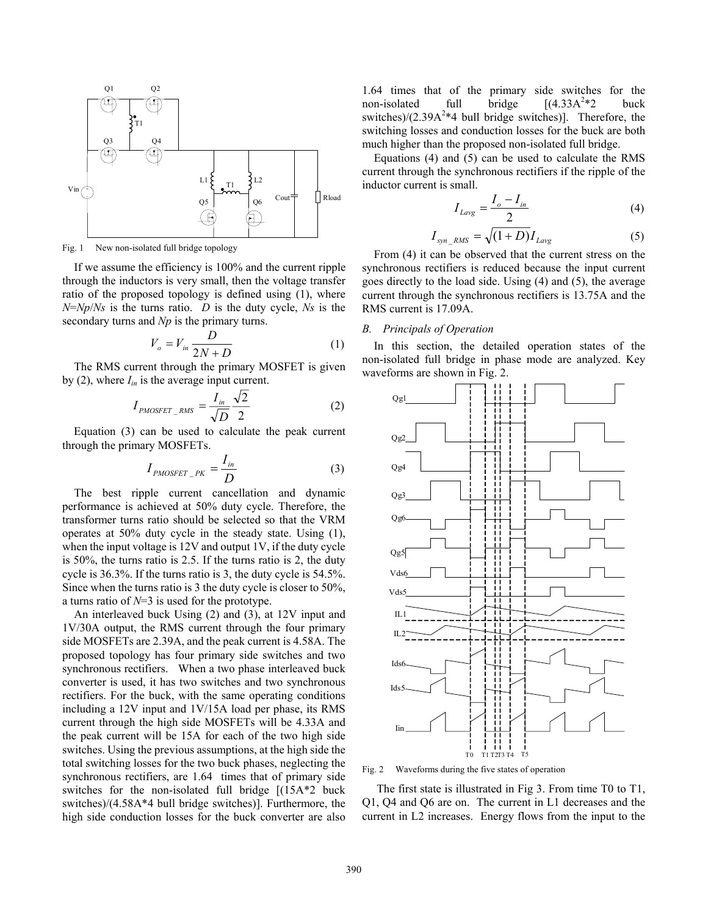

Fig. 1 New non-isolated full bridge topology

If we assume the efficiency is 100% and the current ripple through the inductors is very small, then the voltage transfer ratio of the proposed topology is defined using (1), where *N*=*Np*/*Ns* is the turns ratio. *D* is the duty cycle, *Ns* is the secondary turns and *Np* is the primary turns.

$$
V_o = V_{in} \frac{D}{2N + D} \tag{1}
$$

The RMS current through the primary MOSFET is given by  $(2)$ , where  $I_{in}$  is the average input current.

$$
I_{PMOSFET\_RMS} = \frac{I_{in}}{\sqrt{D}} \frac{\sqrt{2}}{2}
$$
 (2)

Equation (3) can be used to calculate the peak current through the primary MOSFETs.

$$
I_{PMOSFET\_PK} = \frac{I_{in}}{D}
$$
 (3)

The best ripple current cancellation and dynamic performance is achieved at 50% duty cycle. Therefore, the transformer turns ratio should be selected so that the VRM operates at 50% duty cycle in the steady state. Using (1), when the input voltage is 12V and output 1V, if the duty cycle is 50%, the turns ratio is 2.5. If the turns ratio is 2, the duty cycle is 36.3%. If the turns ratio is 3, the duty cycle is 54.5%. Since when the turns ratio is 3 the duty cycle is closer to 50%, a turns ratio of *N*=3 is used for the prototype.

An interleaved buck Using (2) and (3), at 12V input and 1V/30A output, the RMS current through the four primary side MOSFETs are 2.39A, and the peak current is 4.58A. The proposed topology has four primary side switches and two synchronous rectifiers. When a two phase interleaved buck converter is used, it has two switches and two synchronous rectifiers. For the buck, with the same operating conditions including a 12V input and 1V/15A load per phase, its RMS current through the high side MOSFETs will be 4.33A and the peak current will be 15A for each of the two high side switches. Using the previous assumptions, at the high side the total switching losses for the two buck phases, neglecting the synchronous rectifiers, are 1.64 times that of primary side switches for the non-isolated full bridge [(15A\*2 buck switches)/(4.58A\*4 bull bridge switches)]. Furthermore, the high side conduction losses for the buck converter are also

1.64 times that of the primary side switches for the non-isolated full bridge  $[(4.33A^{2*}2$ buck switches)/ $(2.39A<sup>2</sup>*4$  bull bridge switches)]. Therefore, the switching losses and conduction losses for the buck are both much higher than the proposed non-isolated full bridge.

Equations (4) and (5) can be used to calculate the RMS current through the synchronous rectifiers if the ripple of the inductor current is small.

$$
I_{Lavg} = \frac{I_o - I_{in}}{2} \tag{4}
$$

$$
I_{syn\_RMS} = \sqrt{(1+D)} I_{Lavg}
$$
 (5)

From (4) it can be observed that the current stress on the synchronous rectifiers is reduced because the input current goes directly to the load side. Using (4) and (5), the average current through the synchronous rectifiers is 13.75A and the RMS current is 17.09A.

#### *B. Principals of Operation*

In this section, the detailed operation states of the non-isolated full bridge in phase mode are analyzed. Key waveforms are shown in Fig. 2.



Fig. 2 Waveforms during the five states of operation

The first state is illustrated in Fig 3. From time T0 to T1, Q1, Q4 and Q6 are on. The current in L1 decreases and the current in L2 increases. Energy flows from the input to the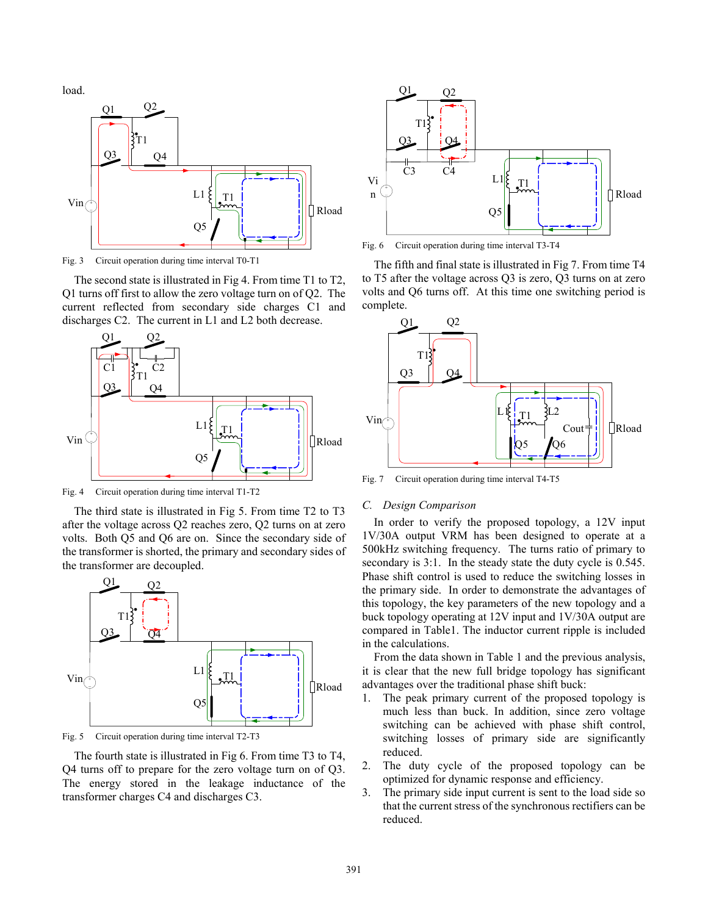load.



Fig. 3 Circuit operation during time interval T0-T1

The second state is illustrated in Fig 4. From time T1 to T2, Q1 turns off first to allow the zero voltage turn on of Q2. The current reflected from secondary side charges C1 and discharges C2. The current in L1 and L2 both decrease.



Fig. 4 Circuit operation during time interval T1-T2

The third state is illustrated in Fig 5. From time T2 to T3 after the voltage across Q2 reaches zero, Q2 turns on at zero volts. Both Q5 and Q6 are on. Since the secondary side of the transformer is shorted, the primary and secondary sides of the transformer are decoupled.



Fig. 5 Circuit operation during time interval T2-T3

The fourth state is illustrated in Fig 6. From time T3 to T4, Q4 turns off to prepare for the zero voltage turn on of Q3. The energy stored in the leakage inductance of the transformer charges C4 and discharges C3.



Fig. 6 Circuit operation during time interval T3-T4

The fifth and final state is illustrated in Fig 7. From time T4 to T5 after the voltage across Q3 is zero, Q3 turns on at zero volts and Q6 turns off. At this time one switching period is complete.



Fig. 7 Circuit operation during time interval T4-T5

#### *C. Design Comparison*

In order to verify the proposed topology, a 12V input 1V/30A output VRM has been designed to operate at a 500kHz switching frequency. The turns ratio of primary to secondary is 3:1. In the steady state the duty cycle is 0.545. Phase shift control is used to reduce the switching losses in the primary side. In order to demonstrate the advantages of this topology, the key parameters of the new topology and a buck topology operating at 12V input and 1V/30A output are compared in Table1. The inductor current ripple is included in the calculations.

From the data shown in Table 1 and the previous analysis, it is clear that the new full bridge topology has significant advantages over the traditional phase shift buck:

- 1. The peak primary current of the proposed topology is much less than buck. In addition, since zero voltage switching can be achieved with phase shift control, switching losses of primary side are significantly reduced.
- 2. The duty cycle of the proposed topology can be optimized for dynamic response and efficiency.
- 3. The primary side input current is sent to the load side so that the current stress of the synchronous rectifiers can be reduced.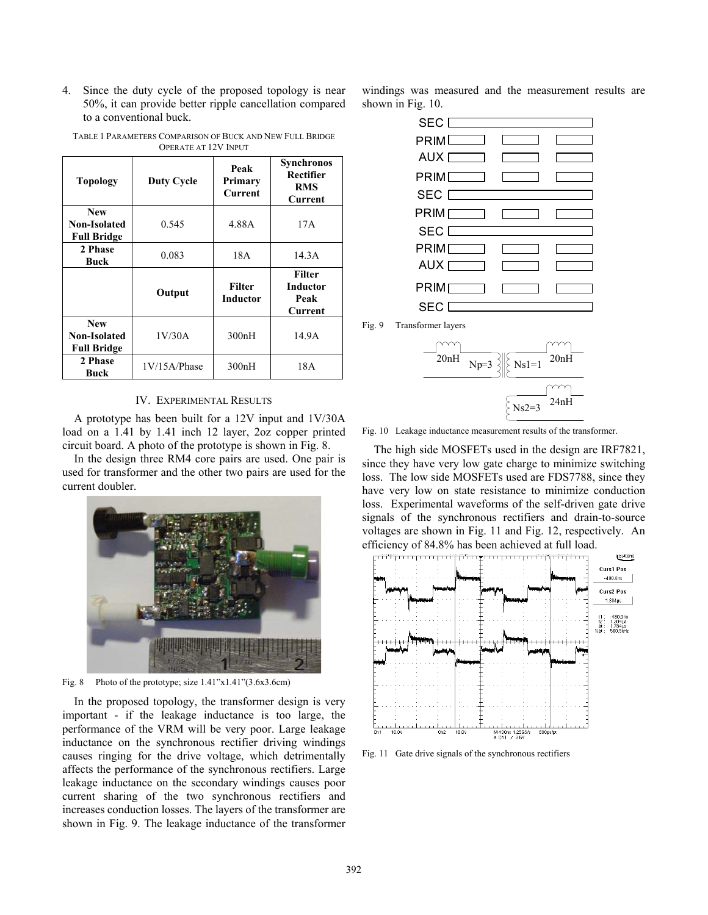4. Since the duty cycle of the proposed topology is near 50%, it can provide better ripple cancellation compared to a conventional buck.

| <b>Topology</b>                                         | <b>Duty Cycle</b> | Peak<br>Primary<br><b>Current</b> | Synchronos<br><b>Rectifier</b><br><b>RMS</b><br>Current |
|---------------------------------------------------------|-------------------|-----------------------------------|---------------------------------------------------------|
| <b>New</b><br><b>Non-Isolated</b><br><b>Full Bridge</b> | 0.545             | 4.88A                             | 17A                                                     |
| 2 Phase<br>Buck                                         | 0.083             | 18A                               | 14.3A                                                   |
|                                                         | Output            | <b>Filter</b><br>Inductor         | <b>Filter</b><br>Inductor<br>Peak<br>Current            |
| <b>New</b><br>Non-Isolated<br><b>Full Bridge</b>        | 1V/30A            | 300nH                             | 14.9A                                                   |
| 2 Phase<br>Buck                                         | 1V/15A/Phase      | 300nH                             | 18A                                                     |

TABLE 1 PARAMETERS COMPARISON OF BUCK AND NEW FULL BRIDGE OPERATE AT 12V INPUT

### IV. EXPERIMENTAL RESULTS

A prototype has been built for a 12V input and 1V/30A load on a 1.41 by 1.41 inch 12 layer, 2oz copper printed circuit board. A photo of the prototype is shown in Fig. 8.

In the design three RM4 core pairs are used. One pair is used for transformer and the other two pairs are used for the current doubler.



Fig. 8 Photo of the prototype; size  $1.41$ "x $1.41$ " $(3.6x3.6cm)$ 

In the proposed topology, the transformer design is very important - if the leakage inductance is too large, the performance of the VRM will be very poor. Large leakage inductance on the synchronous rectifier driving windings causes ringing for the drive voltage, which detrimentally affects the performance of the synchronous rectifiers. Large leakage inductance on the secondary windings causes poor current sharing of the two synchronous rectifiers and increases conduction losses. The layers of the transformer are shown in Fig. 9. The leakage inductance of the transformer

windings was measured and the measurement results are shown in Fig. 10.



Fig. 9 Transformer layers



Fig. 10 Leakage inductance measurement results of the transformer.

The high side MOSFETs used in the design are IRF7821, since they have very low gate charge to minimize switching loss. The low side MOSFETs used are FDS7788, since they have very low on state resistance to minimize conduction loss. Experimental waveforms of the self-driven gate drive signals of the synchronous rectifiers and drain-to-source voltages are shown in Fig. 11 and Fig. 12, respectively. An efficiency of 84.8% has been achieved at full load.



Fig. 11 Gate drive signals of the synchronous rectifiers